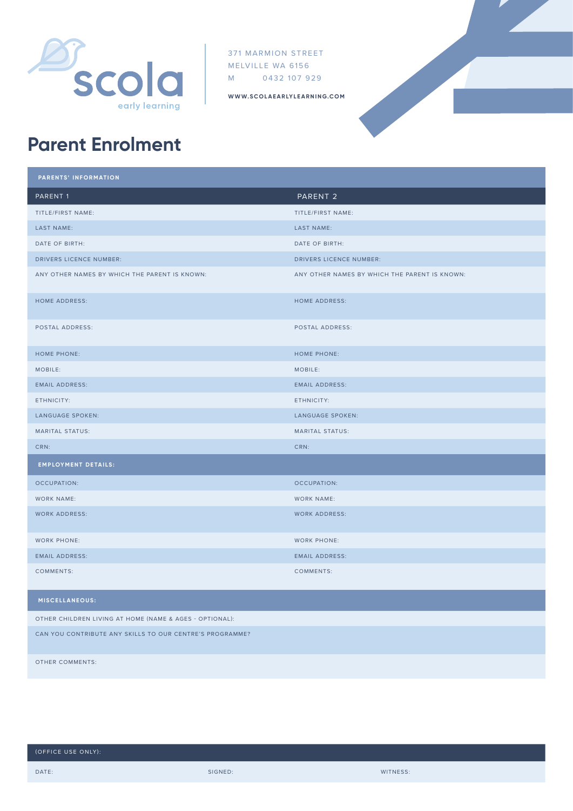

371 MARMION STREET MELVILLE WA 6156 M 0432 107 929

**WWW.SCOLAEARLYLEARNING.COM**



## **Parent Enrolment**

| PARENTS' INFORMATION                          |                                               |
|-----------------------------------------------|-----------------------------------------------|
| PARENT <sub>1</sub>                           | PARENT <sub>2</sub>                           |
| TITLE/FIRST NAME:                             | TITLE/FIRST NAME:                             |
| LAST NAME:                                    | LAST NAME:                                    |
| DATE OF BIRTH:                                | DATE OF BIRTH:                                |
| DRIVERS LICENCE NUMBER:                       | DRIVERS LICENCE NUMBER:                       |
| ANY OTHER NAMES BY WHICH THE PARENT IS KNOWN: | ANY OTHER NAMES BY WHICH THE PARENT IS KNOWN: |
| <b>HOME ADDRESS:</b>                          | <b>HOME ADDRESS:</b>                          |
| POSTAL ADDRESS:                               | POSTAL ADDRESS:                               |
| <b>HOME PHONE:</b>                            | <b>HOME PHONE:</b>                            |
| MOBILE:                                       | MOBILE:                                       |
| <b>EMAIL ADDRESS:</b>                         | <b>EMAIL ADDRESS:</b>                         |
| ETHNICITY:                                    | ETHNICITY:                                    |
| LANGUAGE SPOKEN:                              | LANGUAGE SPOKEN:                              |
| <b>MARITAL STATUS:</b>                        | <b>MARITAL STATUS:</b>                        |
| CRN:                                          | CRN:                                          |
| <b>EMPLOYMENT DETAILS:</b>                    |                                               |
| OCCUPATION:                                   | <b>OCCUPATION:</b>                            |
| <b>WORK NAME:</b>                             | <b>WORK NAME:</b>                             |
| <b>WORK ADDRESS:</b>                          | <b>WORK ADDRESS:</b>                          |
| <b>WORK PHONE:</b>                            | <b>WORK PHONE:</b>                            |
| <b>EMAIL ADDRESS:</b>                         | <b>EMAIL ADDRESS:</b>                         |
| COMMENTS:                                     | COMMENTS:                                     |
| <b>MISCELLANEOUS:</b>                         |                                               |

OTHER CHILDREN LIVING AT HOME (NAME & AGES - OPTIONAL):

CAN YOU CONTRIBUTE ANY SKILLS TO OUR CENTRE'S PROGRAMME?

OTHER COMMENTS: